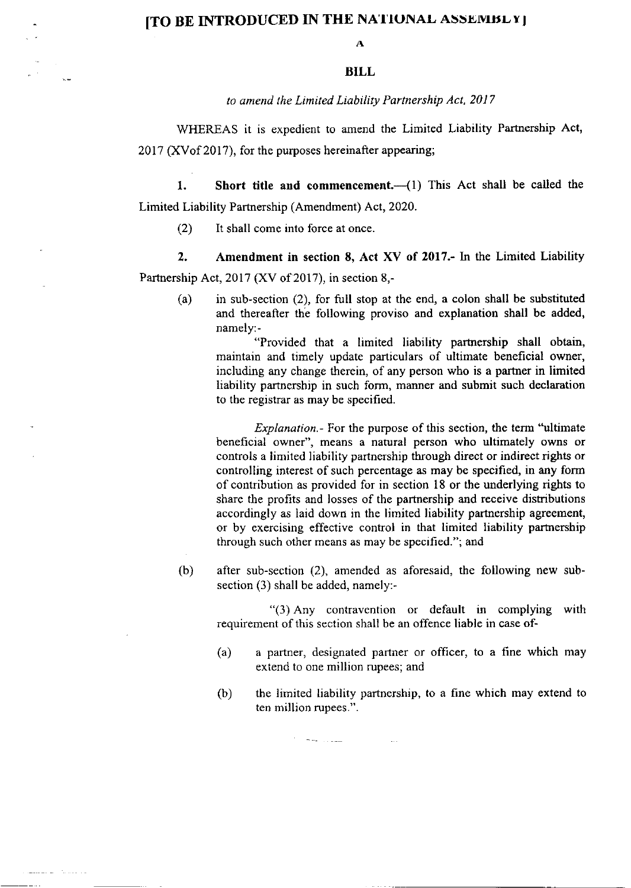## [TO BE INTRODUCED IN THE NATIONAL ASSEMBLY]

A

## BILL

to amend the Limited Liability Partnership Act, 2017

WHEREAS it is expedient to amend the Limited Liability Partnership Act, 2017 (XYof 2017), for the purposes hereinafter appearing;

1. Short title and commencement. $\frac{1}{1}$  This Act shall be called the Limited Liability Partnership (Amendment) Act, 2020.

(2) It shall come into force at once.

2. Amendment in section 8, Act XV of 2017.- In the Limited Liability Partnership Act,  $2017$  (XV of 2017), in section 8,-

(a) in sub-section (2), for full stop at the end, a colon shall be substituted and thereafter the following proviso and explanation shall be added, namely:-

"Provided that a limited liability partnership shall obtain, maintain and timely update particulars of ultimate beneficial owner, including any change therein, of any person who is a partner in limited liability partnership in such form, manner and submit such declaration to the registrar as may be specified.

Explanation.- For the purpose of this section, the term "ultimate beneficial owner", means a natural person who ultimately owns or controls a limited liability partnership through direct or indirect rights or controlling interest of such percentage as may be specified, in any form of contribution as provided for in section l8 or the underlying rights to share the profits and losses of the partnership and receive distributions accordingly as laid down in the limited liability partnership agreement, or by exercising effective control in that limited liability partnership through such other means as may be specified."; and

(b) after sub-section (2), amended as aforesaid, the following new subsection (3) shall be added, namely:-

 $(3)$  Any contravention or default in complying with requirement of this section shall be an offence liable in case of-

- (a) a partner, designated partner or officer, to a fine which may extend to one million rupees; and
- (b) the limited liability partnership, to a fine which may extend to ten million rupees.",

سندان المحار

ساد بالمستخدم القائم المتعلقة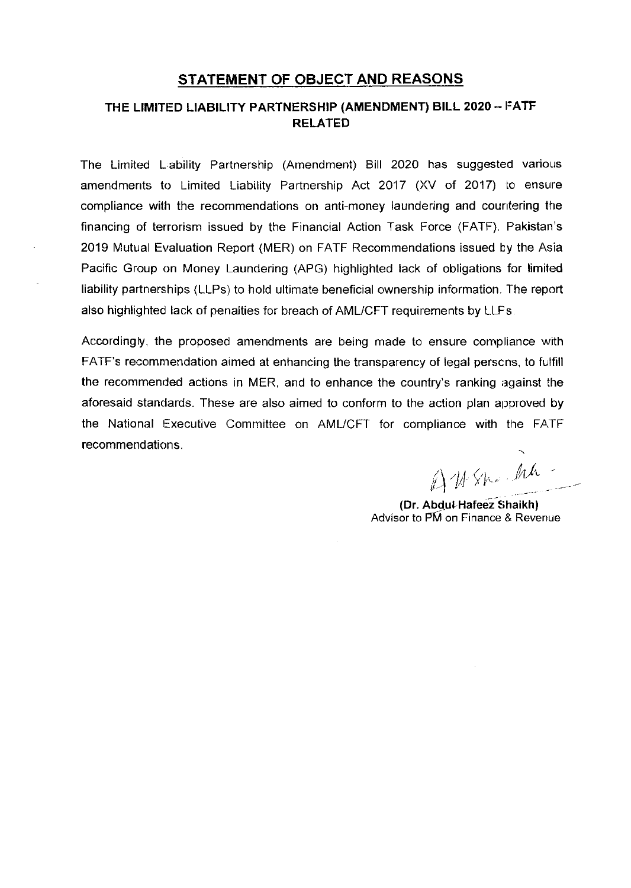## STATEMENT OF OBJECT AND REASONS

## THE LIMITED LIABILITY PARTNERSHIP (AMENDMENT) BILL 2020 - FATF RELATED

The Limited L.ability Partnership (Amendment) Bill 2020 has suggested various amendments to Limited Liability Partnership Act 2017 (XV of 2017) to ensure compliance with the recommendations on anti-money laundering and countering the financing of terrorism issued by the Financial Action Task Force (FATF). Pakistan's 2019 Mutual Evaluation Report (MER) on FATF Recommendations issued by the Asia Pacific Group on Money Laundering (APG) highlighted lack of obligations for limited liability partnerships (LLPs) to hold ultimate beneficial ownership information. The report also highlighted lack of penalties for breach of AML/CFT requirements by LLFs.

Accordingly, the proposed amendments are being made to ensure compliance with FATF's recomnrendation aimed at enhancing the transparency of legal perscns, to fulfill the recommended actions in MER, and to enhance the country's ranking against the aforesaid standards. These are also aimed to conform to the action plan approved by the National Executive Committee on AMUCFT for compliance with the FATF recommendations.

 $\lambda$  the special that h) 11 SK

(Dr. Abdul-Hafeez Shaikh) Advisor to PM on Finance & Revenue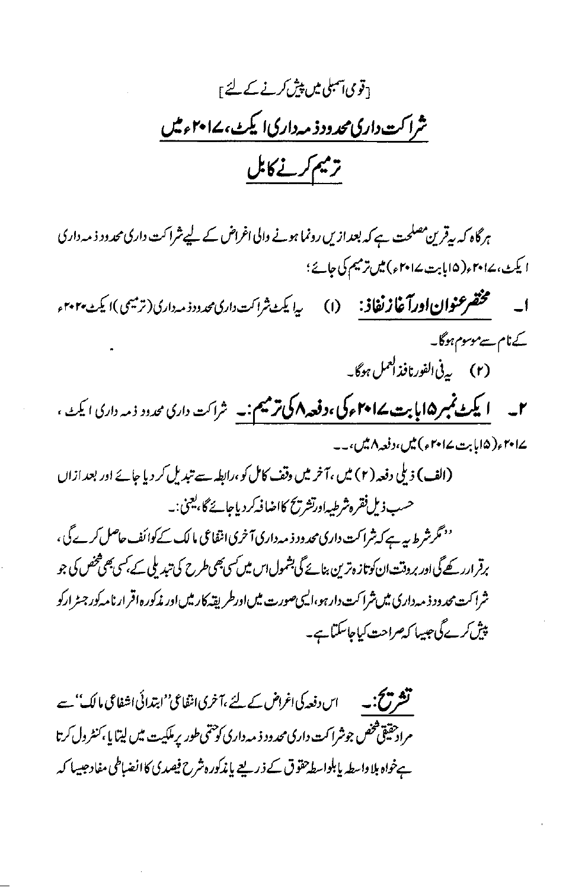5قوی<del>ا ہمبلی میں پیش کرنے کے لئے ا</del> شراکت داری محدود ذمه داری ایکٹ، ۱۷۰۲ء میں ترميم كرنے كابل

ہر گاہ کہ بہقرین مصلحت ہے کہ بعد ازیں رونما ہونے والی اغراض کے لیے شراکت داری محدود ذ مہ داری ا یکٹ، ۲۰۱۷ ، (۱۵ابابت ۲۰۱۷ ، ) میں ترمیم کی جائے؛ ا \_\_\_\_ مختصر عنوان اورآغاز نفاذ: \_\_ (ا) \_\_\_ پیا یکٹ ثراکت داری محدود ذمہ داری (ترمیمی)ا یکٹ ۲۰۲۰ء کےنام سےموسوم ہوگا۔ (۲) پرنی الفورنافذ العمل ہوگا۔ ۲۔ **ایکٹ نمبر ۱۵ایابت کےام<sub>ا</sub> کی ،دفعہ اکی ترمیم:۔** شراکت داری محدود ذمہ داری ایکٹ ، ∠ا ہץ <sub>(</sub>۵اما بت∠ا ہ<sup>ے</sup>) میں،دفعہ ۸میں،۔۔ (الف) ذیلی دفعہ (۲) میں ،آخر میں وقف کامل کو ،رابطہ سے تبدیل کر دیا جائے اور بعد ازاں حسب ذیل فقرہ شرطیداورتشریح کااضا فیکر دیاجائے گا،یعنی:۔ <sup>د م</sup>گرشرط بیہ ہے کہ شرا کت داری محد ود ذ مہ داری آخری انتفاعی مالک کے کوائف حاصل کرے گی ، برقر ارر کھے گی اور بروقت ان کوتاز ہر ّین بنائے گی بشمول اس میں کسی بھی طرح کی تبدیلی کے بکسی بھی شخص کی جو شرا کت محد ود ذ مه داری میں شرا کت دارہو،الیمی صورت میں اورطر پقہ کار میں اور مذکورہ اقر ارنامہ کور جسڑ ارکو پیش کرے گی جیسا کیصراحت کیاجاسکتا ہے۔

**تشریح :۔** اس دفعہ کی اغراض کے لئے ،آخری انٹفاعی''ابتدائی اشفاعی مالک'' سے مرادحقیقی فخص جوشرا کت داری محدود ذیه داری کو حتمی طور پرملکیت میں لیتا یا به کنٹرول کرتا ہےخواہ بلا واسطہ پابلواسط حقوق کے ذریعے پاندکور ہشرح فیصدی کاانضباطی مفادحیسا کہ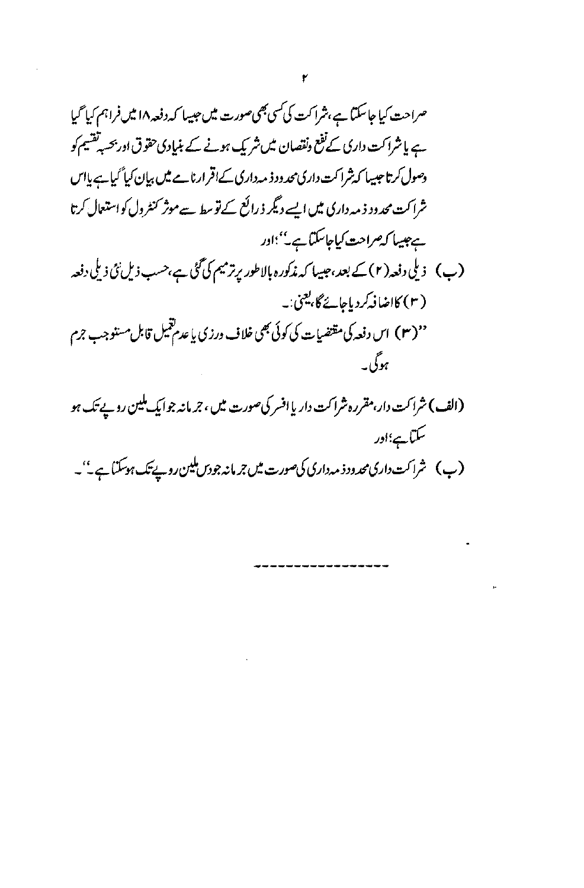(الف) شراکت دار،مقرره شراکت دار یا افسر کی صورت میں ، ج<sub>ر م</sub>انہ جوایک ملین روپے تک ہو سکتاہے؛اور (ب) شراکت داری محدود ذمہ داری کی صورت میں جرمانہ جو دس ملین روپے تک ہوسکتا ہے۔''۔

 $\sim 10^{-11}$ 

,................

 $\sim 10^{-11}$ 

 $\mathbf{p}_t$